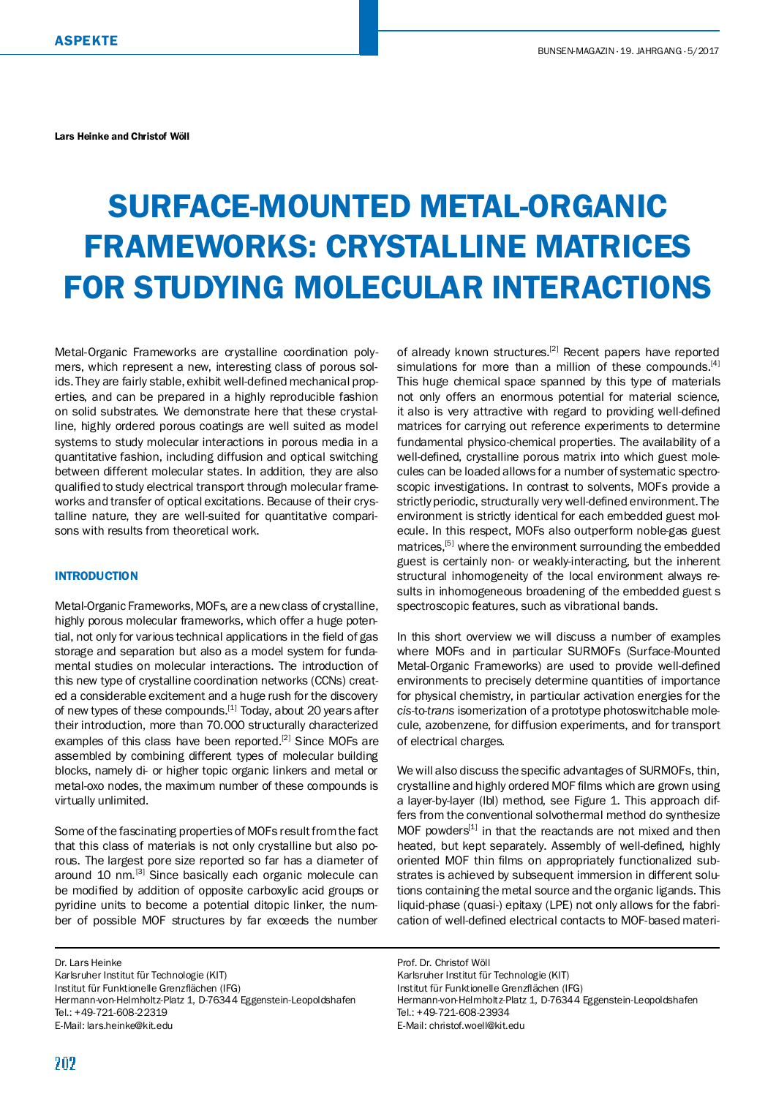Lars Heinke and Christof Wöll

# SURFACE-MOUNTED METAL-ORGANIC FRAMEWORKS: CRYSTALLINE MATRICES FOR STUDYING MOLECULAR INTERACTIONS

Metal-Organic Frameworks are crystalline coordination polymers, which represent a new, interesting class of porous solids. They are fairly stable, exhibit well-defined mechanical properties, and can be prepared in a highly reproducible fashion on solid substrates. We demonstrate here that these crystalline, highly ordered porous coatings are well suited as model systems to study molecular interactions in porous media in a quantitative fashion, including diffusion and optical switching between different molecular states. In addition, they are also qualified to study electrical transport through molecular frameworks and transfer of optical excitations. Because of their crystalline nature, they are well-suited for quantitative comparisons with results from theoretical work.

# **INTRODUCTION**

Metal-Organic Frameworks, MOFs, are a newclass of crystalline, highly porous molecular frameworks, which offer a huge potential, not only for various technical applications in the field of gas storage and separation but also as a model system for fundamental studies on molecular interactions. The introduction of this new type of crystalline coordination networks (CCNs) created a considerable excitement and a huge rush for the discovery of new types of these compounds.<sup>[1]</sup> Today, about 20 years after their introduction, more than 70.000 structurally characterized examples of this class have been reported.<sup>[2]</sup> Since MOFs are assembled by combining different types of molecular building blocks, namely di- or higher topic organic linkers and metal or metal-oxo nodes, the maximum number of these compounds is virtually unlimited.

Some of the fascinating properties of MOFs result fromthe fact that this class of materials is not only crystalline but also porous. The largest pore size reported so far has a diameter of around 10 nm.<sup>[3]</sup> Since basically each organic molecule can be modified by addition of opposite carboxylic acid groups or pyridine units to become a potential ditopic linker, the number of possible MOF structures by far exceeds the number

Dr. Lars Heinke Karlsruher Institut für Technologie (KIT) Institut für Funktionelle Grenzflächen (IFG) Hermann-von-Helmholtz-Platz 1, D-76344 Eggenstein-Leopoldshafen Tel.: +49-721-608-22319 E-Mail: [lars.heinke@kit.edu](mailto:lars.heinke@kit.edu)

of already known structures.<sup>[2]</sup> Recent papers have reported simulations for more than a million of these compounds.<sup>[4]</sup> This huge chemical space spanned by this type of materials not only offers an enormous potential for material science, it also is very attractive with regard to providing well-defined matrices for carrying out reference experiments to determine fundamental physico-chemical properties. The availability of a well-defined, crystalline porous matrix into which guest molecules can be loaded allows for a number of systematic spectroscopic investigations. In contrast to solvents, MOFs provide a strictly periodic, structurally very well-defined environment. The environment is strictly identical for each embedded guest molecule. In this respect, MOFs also outperform noble-gas guest matrices,<sup>[5]</sup> where the environment surrounding the embedded guest is certainly non- or weakly-interacting, but the inherent structural inhomogeneity of the local environment always results in inhomogeneous broadening of the embedded guest's spectroscopic features, such as vibrational bands.

In this short overview we will discuss a number of examples where MOFs and in particular SURMOFs (Surface-Mounted Metal-Organic Frameworks) are used to provide well-defined environments to precisely determine quantities of importance for physical chemistry, in particular activation energies for the *cis*-to-*trans* isomerization of a prototype photoswitchable molecule, azobenzene, for diffusion experiments, and for transport of electrical charges.

We will also discuss the specific advantages of SURMOFs, thin, crystalline and highly ordered MOF films which are grown using a layer-by-layer (lbl) method, see Figure 1. This approach differs from the conventional solvothermal method do synthesize MOF powders<sup>[1]</sup> in that the reactands are not mixed and then heated, but kept separately. Assembly of well-defined, highly oriented MOF thin films on appropriately functionalized substrates is achieved by subsequent immersion in different solutions containing the metal source and the organic ligands. This liquid-phase (quasi-) epitaxy (LPE) not only allows for the fabrication of well-defined electrical contacts to MOF-based materi-

Prof. Dr. Christof Wöll Karlsruher Institut für Technologie (KIT) Institut für Funktionelle Grenzflächen (IFG) Hermann-von-Helmholtz-Platz 1, D-76344 Eggenstein-Leopoldshafen Tel.: +49-721-608-23934 E-Mail: [christof.woell@kit.edu](mailto:christof.woell@kit.edu)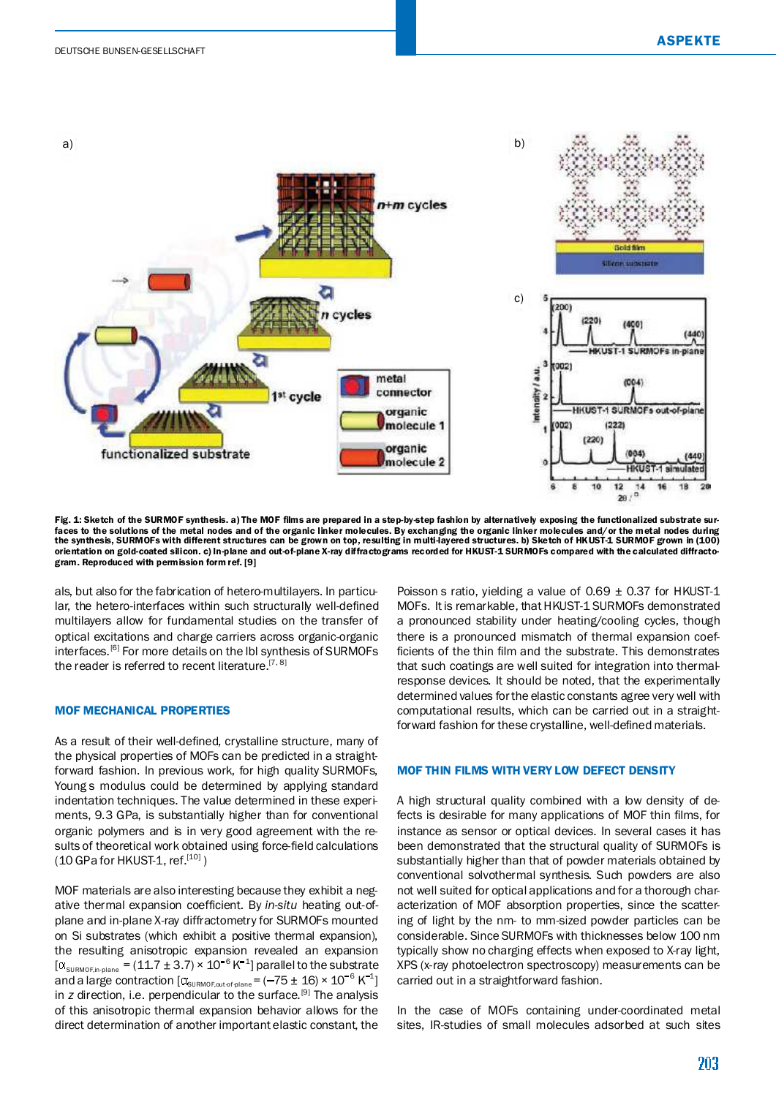

Fig. 1: Sketch of the SURMOF synthesis. a) The MOF films are prepared in a step-by-step fashion by alternatively exposing the functionalized substrate surfaces to the solutions of the metal nodes and of the organic linker molecules. By exchanging the organic linker molecules and/or the metal nodes during the synthesis, SURMOFs with different structures can be grown on top, resulting in multi-layered structures. b) Sketch of HKUST-1 SURMOF grown in (100) orientation on gold-coated silicon. c) In-plane and out-of-plane X-ray diffractograms recorded for HKUST-1 SURMOFs compared with the calculated diffractogram. Reproduced with permission form ref. [9]

als, but also for the fabrication of hetero-multilayers. In particular, the hetero-interfaces within such structurally well-defined multilayers allow for fundamental studies on the transfer of optical excitations and charge carriers across organic-organic interfaces.<sup>[6]</sup> For more details on the lbl synthesis of SURMOFs the reader is referred to recent literature.<sup>[7, 8]</sup>

## MOF MECHANICAL PROPERTIES

As a result of their well-defined, crystalline structure, many of the physical properties of MOFs can be predicted in a straightforward fashion. In previous work, for high quality SURMOFs, Young's modulus could be determined by applying standard indentation techniques. The value determined in these experiments, 9.3 GPa, is substantially higher than for conventional organic polymers and is in very good agreement with the results of theoretical work obtained using force-field calculations (10 GPa for HKUST-1, ref.<sup>[10]</sup>)

MOF materials are also interesting because they exhibit a negative thermal expansion coefficient. By in-situ heating out-ofplane and in-plane X-ray diffractometry for SURMOFs mounted on Si substrates (which exhibit a positive thermal expansion), the resulting anisotropic expansion revealed an expansion  $\left[\alpha_{\text{SUMOR, in-plane}}\right] = (11.7 \pm 3.7) \times 10^{-6} \,\text{K}^{-1}\right]$  parallel to the substrate and a large contraction  $\left[\alpha_{\text{\tiny{SURMOF,outofplane}}}\right] = (-75 \pm 16) \times 10^{-6} \text{ K}^{-1}\right]$ in *z* direction, i.e. perpendicular to the surface.<sup>[9]</sup> The analysis of this anisotropic thermal expansion behavior allows for the direct determination of another important elastic constant, the

Poisson's ratio, yielding a value of 0.69  $\pm$  0.37 for HKUST-1 MOFs. It is remarkable, that HKUST-1 SURMOFs demonstrated a pronounced stability under heating/cooling cycles, though there is a pronounced mismatch of thermal expansion coef ficients of the thin film and the substrate. This demonstrates that such coatings are well suited for integration into thermalresponse devices. It should be noted, that the experimentally determined values forthe elastic constants agree very well with computational results, which can be carried out in a straightforward fashion for these crystalline, well-defined materials.

#### MOF THIN FILMS WITH VERY LOW DEFECT DENSITY

A high structural quality combined with a low density of defects is desirable for many applications of MOF thin films, for instance as sensor or optical devices. In several cases it has been demonstrated that the structural quality of SURMOFs is substantially higher than that of powder materials obtained by conventional solvothermal synthesis. Such powders are also not well suited for optical applications and for a thorough characterization of MOF absorption properties, since the scattering of light by the nm- to mm-sized powder particles can be considerable. Since SURMOFs with thicknesses below 100 nm typically show no charging effects when exposed to X-ray light, XPS (x-ray photoelectron spectroscopy) measurements can be carried out in a straightforward fashion.

In the case of MOFs containing under-coordinated metal sites, IR-studies of small molecules adsorbed at such sites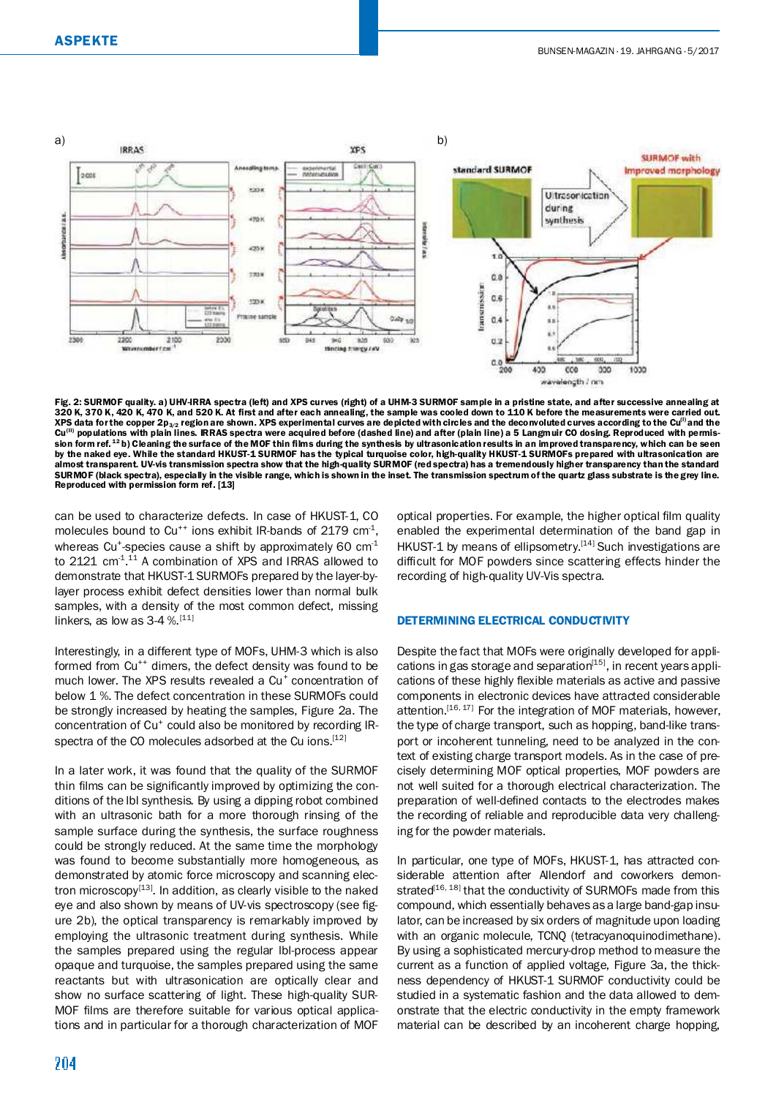

Fig. 2: SURMOF quality. a) UHV-IRRA spectra (left) and XPS curves (right) of a UHM-3 SURMOF sample in a pristine state, and after successive annealing at 320 K, 370 K, 420 K, 470 K, and 520 K. At rst and after each annealing, the sample was cooled down to 110 K before the measurements were carried out. XPS data for the copper 2p $_{3/2}$  region are shown. XPS experimental curves are depicted with circles and the deconvoluted curves according to the Cu<sup>(i)</sup> and the Cu<sup>(II)</sup> populations with plain lines. IRRAS spectra were acquired before (dashed line) and after (plain line) a 5 Langmuir CO dosing. Reproduced with permission form ref. <sup>12</sup>b) Cleaning the surface of the MOF thin films during the synthesis by ultrasonication results in an improved transparency, which can be seen by the naked eye. While the standard HKUST-1 SURMOF has the typical turquoise color, high-quality HKUST-1 SURMOFs prepared with ultrasonication are almost transparent. UV-vis transmission spectra show that the high-quality SURMOF (red spectra) has a tremendously higher transparency than the standard SURMOF (black spectra), especially in the visible range, which is shown in the inset. The transmission spectrum of the quartz glass substrate is the grey line. Reproduced with permission form ref. [13]

can be used to characterize defects. In case of HKUST-1, CO molecules bound to  $Cu^{++}$  ions exhibit IR-bands of 2179 cm<sup>-1</sup>, whereas Cu<sup>+</sup>-species cause a shift by approximately 60  $cm<sup>-1</sup>$ to 2121 cm<sup>-1,11</sup> A combination of XPS and IRRAS allowed to demonstrate that HKUST-1 SURMOFs prepared by the layer-bylayer process exhibit defect densities lower than normal bulk samples, with a density of the most common defect, missing linkers, as low as  $3-4$  %.  $[11]$ 

Interestingly, in a different type of MOFs, UHM-3 which is also formed from Cu<sup>++</sup> dimers, the defect density was found to be much lower. The XPS results revealed a Cu<sup>+</sup> concentration of below 1 %. The defect concentration in these SURMOFs could be strongly increased by heating the samples, Figure 2a. The concentration of Cu<sup>+</sup> could also be monitored by recording IRspectra of the CO molecules adsorbed at the Cu ions.<sup>[12]</sup>

In a later work, it was found that the quality of the SURMOF thin films can be significantly improved by optimizing the conditions of the lbl synthesis. By using a dipping robot combined with an ultrasonic bath for a more thorough rinsing of the sample surface during the synthesis, the surface roughness could be strongly reduced. At the same time the morphology was found to become substantially more homogeneous, as demonstrated by atomic force microscopy and scanning electron microscopy<sup>[13]</sup>. In addition, as clearly visible to the naked eye and also shown by means of UV-vis spectroscopy (see figure 2b), the optical transparency is remarkably improved by employing the ultrasonic treatment during synthesis. While the samples prepared using the regular lbl-process appear opaque and turquoise, the samples prepared using the same reactants but with ultrasonication are optically clear and show no surface scattering of light. These high-quality SUR-MOF films are therefore suitable for various optical applications and in particular for a thorough characterization of MOF optical properties. For example, the higher optical film quality enabled the experimental determination of the band gap in HKUST-1 by means of ellipsometry.<sup>[14]</sup> Such investigations are difficult for MOF powders since scattering effects hinder the recording of high-quality UV-Vis spectra.

## DETERMINING ELECTRICAL CONDUCTIVITY

Despite the fact that MOFs were originally developed for applications in gas storage and separation<sup>[15]</sup>, in recent years applications of these highly flexible materials as active and passive components in electronic devices have attracted considerable attention.<sup>[16, 17]</sup> For the integration of MOF materials, however, the type of charge transport, such as hopping, band-like transport or incoherent tunneling, need to be analyzed in the context of existing charge transport models. As in the case of precisely determining MOF optical properties, MOF powders are not well suited for a thorough electrical characterization. The preparation of well-defined contacts to the electrodes makes the recording of reliable and reproducible data very challenging for the powder materials.

In particular, one type of MOFs, HKUST-1, has attracted considerable attention after Allendorf and coworkers demonstrated<sup>[16, 18]</sup> that the conductivity of SURMOFs made from this compound, which essentially behaves as a large band-gap insulator, can be increased by six orders of magnitude upon loading with an organic molecule, TCNQ (tetracyanoquinodimethane). By using a sophisticated mercury-drop method to measure the current as a function of applied voltage, Figure 3a, the thickness dependency of HKUST-1 SURMOF conductivity could be studied in a systematic fashion and the data allowed to demonstrate that the electric conductivity in the empty framework material can be described by an incoherent charge hopping,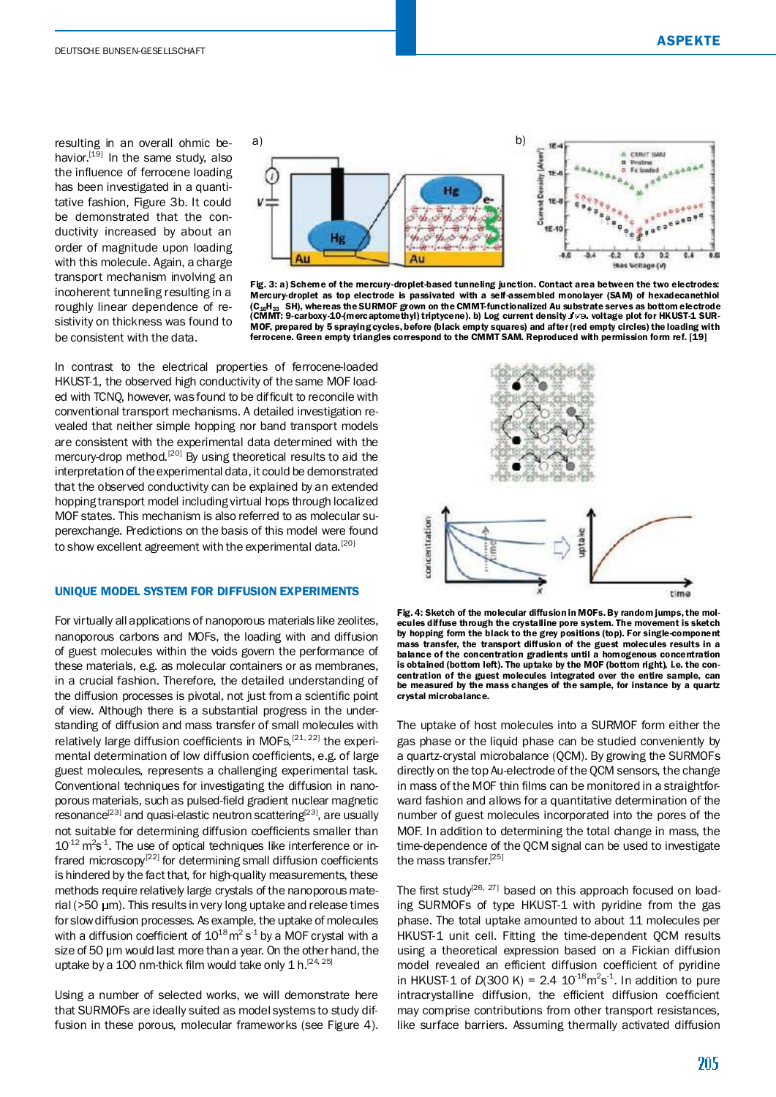resulting in an overall ohmic behavior.<sup>[19]</sup> In the same study, also the influence of ferrocene loading has been investigated in a quantitative fashion, Figure 3b. It could be demonstrated that the conductivity increased by about an order of magnitude upon loading with this molecule. Again, a charge transport mechanism involving an incoherent tunneling resulting in a roughly linear dependence of resistivity on thickness was found to be consistent with the data.





In contrast to the electrical properties of ferrocene-loaded HKUST-1, the observed high conductivity of the same MOF loaded with TCNQ, however, was found to be difficult to reconcile with conventional transport mechanisms. A detailed investigation revealed that neither simple hopping nor band transport models are consistent with the experimental data determined with the mercury-drop method.<sup>[20]</sup> By using theoretical results to aid the interpretation of theexperimental data, it could be demonstrated that the observed conductivity can be explained by an extended hopping transport model including virtual hops through localized MOF states. This mechanism is also referred to as molecular superexchange. Predictions on the basis of this model were found to show excellent agreement with the experimental data.<sup>[20]</sup>

#### UNIQUE MODEL SYSTEM FOR DIFFUSION EXPERIMENTS

For virtually all applications of nanoporous materials like zeolites, nanoporous carbons and MOFs, the loading with and diffusion of guest molecules within the voids govern the performance of these materials, e.g. as molecular containers or as membranes, in a crucial fashion. Therefore, the detailed understanding of the diffusion processes is pivotal, not just from a scientific point of view. Although there is a substantial progress in the understanding of diffusion and mass transfer of small molecules with relatively large diffusion coefficients in MOFs, [21, 22] the experimental determination of low diffusion coefficients, e.g. of large guest molecules, represents a challenging experimental task. Conventional techniques for investigating the diffusion in nanoporous materials, such as pulsed-field gradient nuclear magnetic resonance<sup>[23]</sup> and quasi-elastic neutron scattering<sup>[23]</sup>, are usually not suitable for determining diffusion coefficients smaller than  $10^{-12}$  m<sup>2</sup>s<sup>-1</sup>. The use of optical techniques like interference or infrared microscopy<sup>[22]</sup> for determining small diffusion coefficients is hindered by the fact that, for high-quality measurements, these methods require relatively large crystals of the nanoporous material ( $>50 \mu$ m). This results in very long uptake and release times for slowdiffusion processes. As example, the uptake of molecules with a diffusion coefficient of  $10^{18}$  m<sup>2</sup> s<sup>-1</sup> by a MOF crystal with a size of 50 µm would last more than a year. On the other hand, the uptake by a 100 nm-thick film would take only 1 h.<sup>[24, 25]</sup>

Using a number of selected works, we will demonstrate here that SURMOFs are ideally suited as model systems to study diffusion in these porous, molecular frameworks (see Figure 4).



Fig.4: Sketch of the molecular diffusion in MOFs.By random jumps,the molecules diffuse through the crystalline pore system. The movement is sketch by hopping form the black to the grey positions (top). For single-component mass transfer, the transport diffusion of the guest molecules results in a balance of the concentration gradients until a homogenous concentration is obtained (bottom left). The uptake by the MOF (bottom right), i.e. the concentration of the guest molecules integrated over the entire sample, can be measured by the mass changes of the sample, for instance by a quartz crystal microbalance.

The uptake of host molecules into a SURMOF form either the gas phase or the liquid phase can be studied conveniently by a quartz-crystal microbalance (QCM). By growing the SURMOFs directly on the top Au-electrode of the QCM sensors, the change in mass of the MOF thin films can be monitored in a straightforward fashion and allows for a quantitative determination of the number of guest molecules incorporated into the pores of the MOF. In addition to determining the total change in mass, the time-dependence of the QCM signal can be used to investigate the mass transfer. [25]

The first study<sup>[26, 27]</sup> based on this approach focused on loading SURMOFs of type HKUST-1 with pyridine from the gas phase. The total uptake amounted to about 11 molecules per HKUST-1 unit cell. Fitting the time-dependent QCM results using a theoretical expression based on a Fickian diffusion model revealed an efficient diffusion coefficient of pyridine in HKUST-1 of  $D(300 \text{ K}) = 2.4 \ 10^{-18} \text{m}^2 \text{s}^{-1}$ . In addition to pure intracrystalline diffusion, the efficient diffusion coefficient may comprise contributions from other transport resistances, like surface barriers. Assuming thermally activated diffusion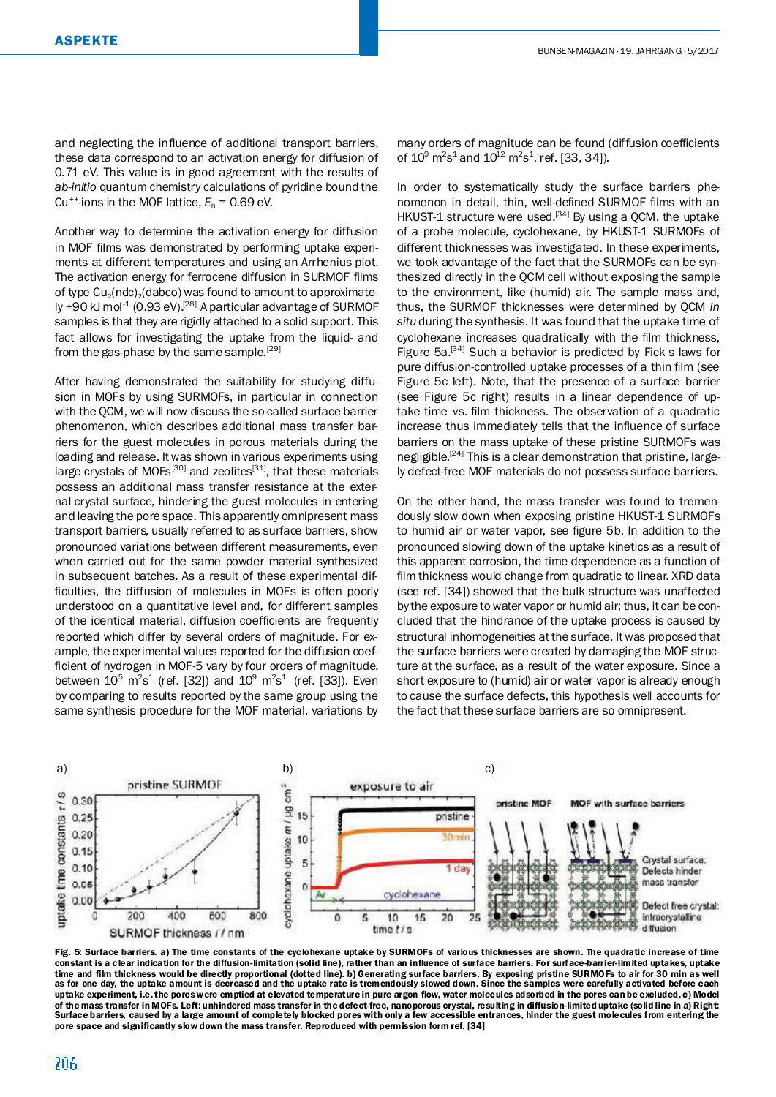Another way to determine the activation energy for diffusion in MOF films was demonstrated by performing uptake experiments at different temperatures and using an Arrhenius plot. The activation energy for ferrocene diffusion in SURMOF films of type  $Cu<sub>2</sub>(ndc)<sub>2</sub>(dabco)$  was found to amount to approximately +90 kJ mol<sup>-1</sup> (0.93 eV).<sup>[28]</sup> A particular advantage of SURMOF samples is that they are rigidly attached to a solid support. This fact allows for investigating the uptake from the liquid- and from the gas-phase by the same sample.<sup>[29]</sup>

After having demonstrated the suitability for studying diffusion in MOFs by using SURMOFs, in particular in connection with the QCM, we will now discuss the so-called surface barrier phenomenon, which describes additional mass transfer barriers for the guest molecules in porous materials during the loading and release. Itwas shown in various experiments using large crystals of MOFs<sup>[30]</sup> and zeolites<sup>[31]</sup>, that these materials possess an additional mass transfer resistance at the external crystal surface, hindering the guest molecules in entering and leaving the pore space. This apparently omnipresent mass transport barriers, usually referred to as surface barriers, show pronounced variations between different measurements, even when carried out for the same powder material synthesized in subsequent batches. As a result of these experimental dif ficulties, the diffusion of molecules in MOFs is often poorly understood on a quantitative level and, for different samples of the identical material, diffusion coefficients are frequently reported which differ by several orders of magnitude. For example, the experimental values reported for the diffusion coefficient of hydrogen in MOF-5 vary by four orders of magnitude, between  $10^5 \text{ m}^2\text{s}^1$  (ref. [32]) and  $10^9 \text{ m}^2\text{s}^1$  (ref. [33]). Even by comparing to results reported by the same group using the same synthesis procedure for the MOF material, variations by many orders of magnitude can be found (diffusion coefficients of  $10^9$  m<sup>2</sup>s<sup>1</sup> and  $10^{12}$  m<sup>2</sup>s<sup>1</sup>, ref. [33, 34]).

In order to systematically study the surface barriers phenomenon in detail, thin, well-defined SURMOF films with an HKUST-1 structure were used. $^{[34]}$  By using a QCM, the uptake of a probe molecule, cyclohexane, by HKUST-1 SURMOFs of different thicknesses was investigated. In these experiments, we took advantage of the fact that the SURMOFs can be synthesized directly in the QCM cell without exposing the sample to the environment, like (humid) air. The sample mass and, thus, the SURMOF thicknesses were determined by QCM *in situ* during the synthesis. It was found that the uptake time of cyclohexane increases quadratically with the film thickness, Figure 5a.<sup>[34]</sup> Such a behavior is predicted by Fick's laws for pure diffusion-controlled uptake processes of a thin film (see Figure 5c left). Note, that the presence of a surface barrier (see Figure 5c right) results in a linear dependence of uptake time vs. film thickness. The observation of a quadratic increase thus immediately tells that the influence of surface barriers on the mass uptake of these pristine SURMOFs was negligible.<sup>[24]</sup> This is a clear demonstration that pristine, largely defect-free MOF materials do not possess surface barriers.

On the other hand, the mass transfer was found to tremendously slow down when exposing pristine HKUST-1 SURMOFs to humid air or water vapor, see figure 5b. In addition to the pronounced slowing down of the uptake kinetics as a result of this apparent corrosion, the time dependence as a function of film thickness would change from quadratic to linear. XRD data (see ref. [34]) showed that the bulk structure was unaffected by the exposure to water vapor or humid air; thus, it can be concluded that the hindrance of the uptake process is caused by structural inhomogeneities at the surface. Itwas proposed that the surface barriers were created by damaging the MOF structure at the surface, as a result of the water exposure. Since a short exposure to (humid) air or water vapor is already enough to cause the surface defects, this hypothesis well accounts for the fact that these surface barriers are so omnipresent.



Fig. 5: Surface barriers. a) The time constants of the cyclohexane uptake by SURMOFs of various thicknesses are shown. The quadratic increase of time constant is a clear indication for the diffusion-limitation (solid line), rather than an inuence of surface barriers. For surface-barrier-limited uptakes, uptake time and film thickness would be directly proportional (dotted line). b) Generating surface barriers. By exposing pristine SURMOFs to air for 30 min as well<br>as for one day, the uptake amount is decreased and the uptake rat uptake experiment, i.e. the poreswere emptied at elevated temperature in pure argon flow, water molecules adsorbed in the pores can be excluded. c) Model of the mass transfer in MOFs. Left: unhindered mass transfer in the defect-free, nanoporous crystal, resulting in diffusion-limited uptake (solid line in a) Right: Surface barriers, caused by a large amount of completely blocked pores with only a few accessible entrances, hinder the guest molecules from entering the pore space and significantly slow down the mass transfer. Reproduced with permission form ref. [34]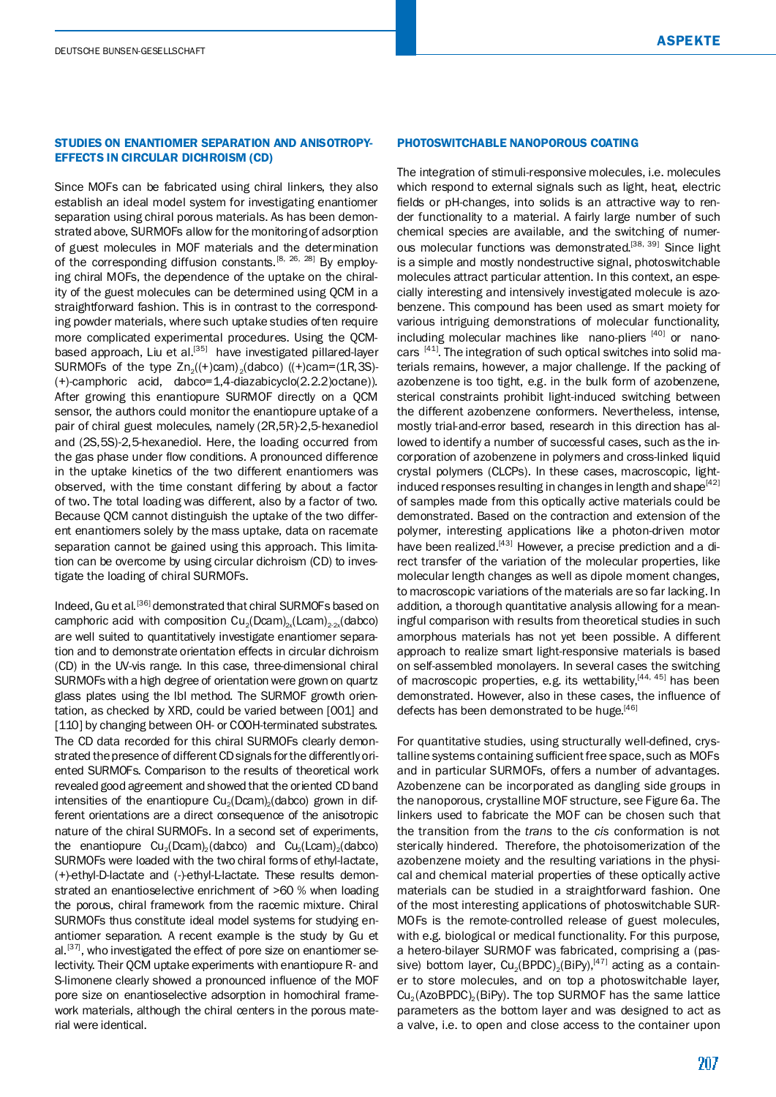## STUDIES ON ENANTIOMER SEPARATION AND ANISOTROPY-EFFECTS IN CIRCULAR DICHROISM (CD)

Since MOFs can be fabricated using chiral linkers, they also establish an ideal model system for investigating enantiomer separation using chiral porous materials. As has been demonstrated above, SURMOFs allow for the monitoringof adsorption of guest molecules in MOF materials and the determination of the corresponding diffusion constants.<sup>[8, 26, 28]</sup> By employing chiral MOFs, the dependence of the uptake on the chirality of the guest molecules can be determined using QCM in a straightforward fashion. This is in contrast to the corresponding powder materials, where such uptake studies often require more complicated experimental procedures. Using the QCMbased approach, Liu et al.<sup>[35]</sup> have investigated pillared-layer SURMOFs of the type  $Zn_2((+)cam)_2(dabco)$  ((+)cam=(1R,3S)-(+)-camphoric acid, dabco=1,4-diazabicyclo(2.2.2)octane)). After growing this enantiopure SURMOF directly on a QCM sensor, the authors could monitor the enantiopure uptake of a pair of chiral guest molecules, namely (2R,5R)-2,5-hexanediol and (2S,5S)-2,5-hexanediol. Here, the loading occurred from the gas phase under flow conditions. A pronounced difference in the uptake kinetics of the two different enantiomers was observed, with the time constant differing by about a factor of two. The total loading was different, also by a factor of two. Because QCM cannot distinguish the uptake of the two different enantiomers solely by the mass uptake, data on racemate separation cannot be gained using this approach. This limitation can be overcome by using circular dichroism (CD) to investigate the loading of chiral SURMOFs.

Indeed, Gu et al.<sup>[36]</sup> demonstrated that chiral SURMOFs based on camphoric acid with composition  $Cu_2(Dcam)_{2x}(Lcam)_{2-2x}(dabco)$ are well suited to quantitatively investigate enantiomer separation and to demonstrate orientation effects in circular dichroism (CD) in the UV-vis range. In this case, three-dimensional chiral SURMOFs with a high degree of orientation were grown on quartz glass plates using the lbl method. The SURMOF growth orientation, as checked by XRD, could be varied between [001] and [110] by changing between OH- or COOH-terminated substrates. The CD data recorded for this chiral SURMOFs clearly demonstrated the presence of different CD signals for the differently oriented SURMOFs. Comparison to the results of theoretical work revealed good agreement and showed that the oriented CDband intensities of the enantiopure  $Cu<sub>2</sub>(Dcam)<sub>2</sub>(dabco)$  grown in different orientations are a direct consequence of the anisotropic nature of the chiral SURMOFs. In a second set of experiments, the enantiopure  $Cu_2(Dcam)_2(dabco)$  and  $Cu_2(Lcam)_2(dabco)$ SURMOFs were loaded with the two chiral forms of ethyl-lactate, (+)-ethyl-D-lactate and (-)-ethyl-L-lactate. These results demonstrated an enantioselective enrichment of >60 % when loading the porous, chiral framework from the racemic mixture. Chiral SURMOFs thus constitute ideal model systems for studying enantiomer separation. A recent example is the study by Gu et al.<sup>[37]</sup>, who investigated the effect of pore size on enantiomer selectivity. Their QCM uptake experiments with enantiopure R- and S-limonene clearly showed a pronounced influence of the MOF pore size on enantioselective adsorption in homochiral framework materials, although the chiral centers in the porous material were identical.

## PHOTOSWITCHABLE NANOPOROUS COATING

The integration of stimuli-responsive molecules, i.e. molecules which respond to external signals such as light, heat, electric fields or pH-changes, into solids is an attractive way to render functionality to a material. A fairly large number of such chemical species are available, and the switching of numerous molecular functions was demonstrated.<sup>[38, 39]</sup> Since light is a simple and mostly nondestructive signal, photoswitchable molecules attract particular attention. In this context, an especially interesting and intensively investigated molecule is azobenzene. This compound has been used as smart moiety for various intriguing demonstrations of molecular functionality, including molecular machines like "nano-pliers"<sup>[40]</sup> or "nanocars"<sup>[41]</sup>. The integration of such optical switches into solid materials remains, however, a major challenge. If the packing of azobenzene is too tight, e.g. in the bulk form of azobenzene, sterical constraints prohibit light-induced switching between the different azobenzene conformers. Nevertheless, intense, mostly trial-and-error based, research in this direction has allowed to identify a number of successful cases, such as the incorporation of azobenzene in polymers and cross-linked liquid crystal polymers (CLCPs). In these cases, macroscopic, lightinduced responses resulting in changes in length and shape<sup>[42]</sup> of samples made from this optically active materials could be demonstrated. Based on the contraction and extension of the polymer, interesting applications like a photon-driven motor have been realized.<sup>[43]</sup> However, a precise prediction and a direct transfer of the variation of the molecular properties, like molecular length changes as well as dipole moment changes, to macroscopic variations of the materials are so far lacking. In addition, a thorough quantitative analysis allowing for a meaningful comparison with results from theoretical studies in such amorphous materials has not yet been possible. A different approach to realize smart light-responsive materials is based on self-assembled monolayers. In several cases the switching of macroscopic properties, e.g. its wettability, [44, 45] has been demonstrated. However, also in these cases, the influence of defects has been demonstrated to be huge.<sup>[46]</sup>

For quantitative studies, using structurally well-defined, crystalline systems containing sufficient free space, such as MOFs and in particular SURMOFs, offers a number of advantages. Azobenzene can be incorporated as dangling side groups in the nanoporous, crystalline MOF structure, see Figure 6a. The linkers used to fabricate the MOF can be chosen such that the transition from the *trans* to the *cis* conformation is not sterically hindered. Therefore, the photoisomerization of the azobenzene moiety and the resulting variations in the physical and chemical material properties of these optically active materials can be studied in a straightforward fashion. One of the most interesting applications of photoswitchable SUR-MOFs is the remote-controlled release of guest molecules, with e.g. biological or medical functionality. For this purpose, a hetero-bilayer SURMOF was fabricated, comprising a (passive) bottom layer,  $\text{Cu}_2(\text{BPDC})_2(\text{BiPy})$ , $^{[47]}$  acting as a container to store molecules, and on top a photoswitchable layer,  $Cu<sub>2</sub>(AzoBPDC)<sub>2</sub>(BiPy)$ . The top SURMOF has the same lattice parameters as the bottom layer and was designed to act as a valve, i.e. to open and close access to the container upon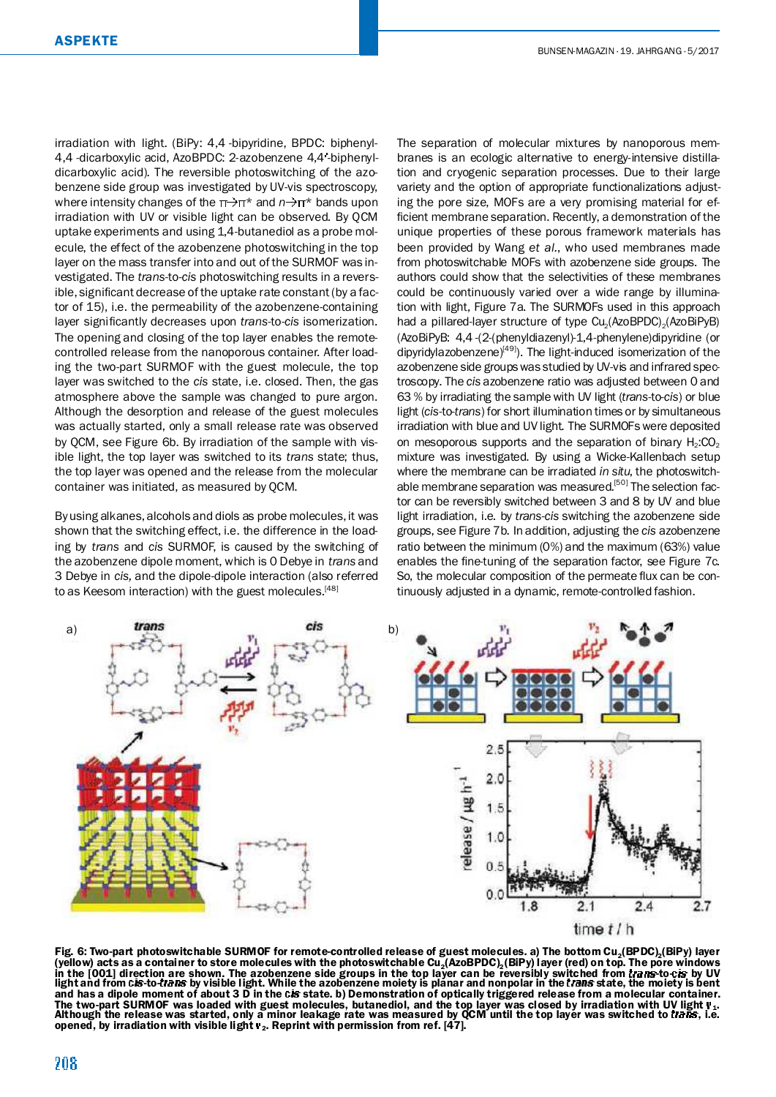irradiation with light. (BiPy: 4,4'-bipyridine, BPDC: biphenyl-4,4 -dicarboxylic acid, AzoBPDC: 2-azobenzene 4,4 -biphenyldicarboxylic acid). The reversible photoswitching of the azobenzene side group was investigated by UV-vis spectroscopy, where intensity changes of the  $π→π<sup>∗</sup>$  and  $n→π<sup>∗</sup>$  bands upon irradiation with UV or visible light can be observed. By QCM uptake experiments and using 1,4-butanediol as a probe molecule, the effect of the azobenzene photoswitching in the top layer on the mass transfer into and out of the SURMOF was investigated. The *trans*-to-*cis* photoswitching results in a reversible, significant decrease of the uptake rate constant (by a factor of 15), i.e. the permeability of the azobenzene-containing layer significantly decreases upon *trans-to-cis* isomerization. The opening and closing of the top layer enables the remotecontrolled release from the nanoporous container. After loading the two-part SURMOF with the guest molecule, the top layer was switched to the *cis* state, i.e. closed. Then, the gas atmosphere above the sample was changed to pure argon. Although the desorption and release of the guest molecules was actually started, only a small release rate was observed by QCM, see Figure 6b. By irradiation of the sample with visible light, the top layer was switched to its *trans* state; thus, the top layer was opened and the release from the molecular container was initiated, as measured by QCM.

Byusing alkanes, alcohols and diols as probe molecules, it was shown that the switching effect, i.e. the difference in the loading by *trans* and *cis* SURMOF, is caused by the switching of the azobenzene dipole moment, which is 0 Debye in *trans* and 3 Debye in *cis,* and the dipole-dipole interaction (also referred to as Keesom interaction) with the guest molecules.<sup>[48]</sup>

The separation of molecular mixtures by nanoporous membranes is an ecologic alternative to energy-intensive distillation and cryogenic separation processes. Due to their large variety and the option of appropriate functionalizations adjusting the pore size, MOFs are a very promising material for ef ficient membrane separation. Recently, a demonstration of the unique properties of these porous framework materials has been provided by Wang *et al.*, who used membranes made from photoswitchable MOFs with azobenzene side groups. The authors could show that the selectivities of these membranes could be continuously varied over a wide range by illumination with light, Figure 7a. The SURMOFs used in this approach had a pillared-layer structure of type Cu<sub>2</sub>(AzoBPDC)<sub>2</sub>(AzoBiPyB) (AzoBiPyB: 4,4'-(2-(phenyldiazenyl)-1,4-phenylene)dipyridine (or dipyridylazobenzene)<sup>[49]</sup>). The light-induced isomerization of the azobenzene side groups was studied by UV-vis and infrared spectroscopy. The *cis* azobenzene ratio was adjusted between 0 and 63 % by irradiating the sample with UV light (*trans*-to-*cis*) or blue light (*cis*-to-*trans*) for short illumination times or by simultaneous irradiation with blue and UV light. The SURMOFs were deposited on mesoporous supports and the separation of binary  $H_2$ :CO<sub>2</sub> mixture was investigated. By using a Wicke-Kallenbach setup where the membrane can be irradiated *in situ*, the photoswitchable membrane separation was measured.<sup>[50]</sup> The selection factor can be reversibly switched between 3 and 8 by UV and blue light irradiation, i.e. by *trans*-*cis* switching the azobenzene side groups, see Figure 7b. In addition, adjusting the *cis* azobenzene ratio between the minimum (0%) and the maximum (63%) value enables the fine-tuning of the separation factor, see Figure 7c. So, the molecular composition of the permeate flux can be continuously adjusted in a dynamic, remote-controlled fashion.



Fig. 6: Two-part photoswitchable SURMOF for remote-controlled release of guest molecules. a) The bottom Cu<sub>2</sub>(BPDC)<sub>2</sub>(BiPy) layer (yellow) acts as a container to store molecules with the photoswitchable Cu<sub>2</sub>(AzoBPDC), (BiPy) layer (red) on top. The pore windows in the [001] direction are shown. The azobenzene side groups in the top layer can be reversibly switched from *trans*-to-c*is* by UV<br>light and from c*is-*to-*trans* by visible light. While the azobenzene moiety is planar a and has a dipole moment of about 3 D in the cis state. b) Demonstration of optically triggered release from a molecular container. The two-part SURMOF was loaded with guest molecules, butanediol, and the top layer was closed by irradiation with UV light v<sub>1</sub>.<br>Although the release was started, only a minor leakage rate was measured by QCM until the top opened, by irradiation with visible light  $v_2$ . Reprint with permission from ref. [47].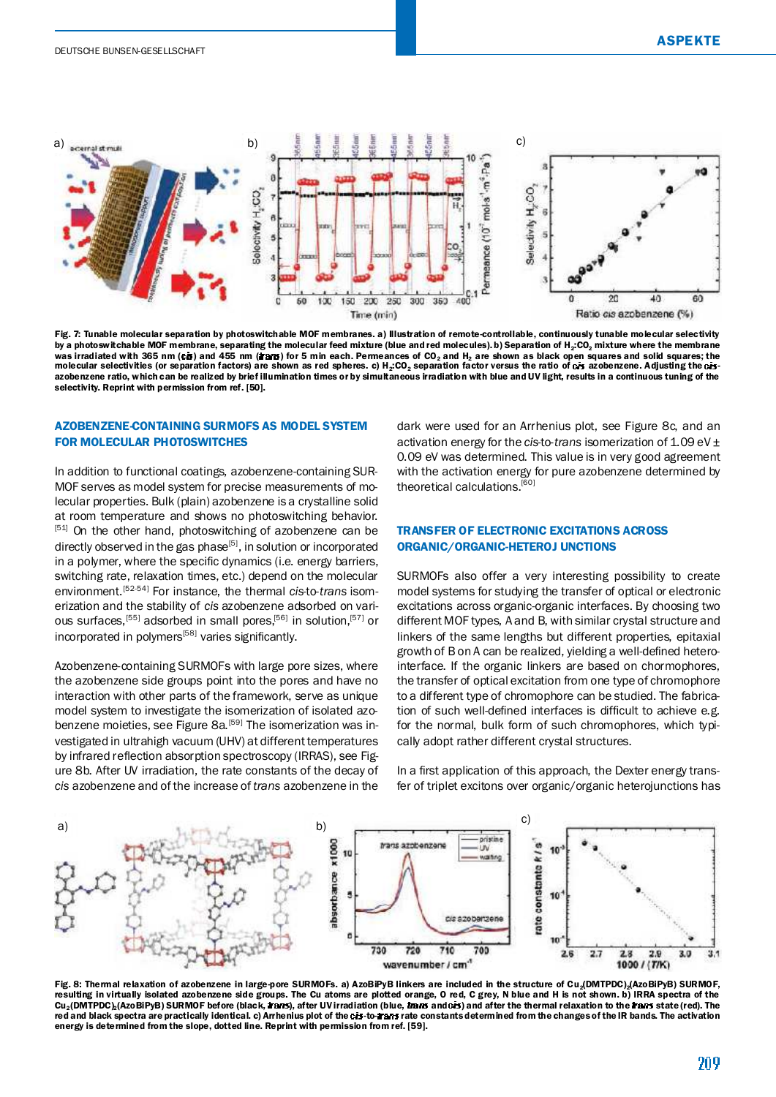

Fig. 7: Tunable molecular separation by photoswitchable MOF membranes. a) Illustration of remote-controllable, continuously tunable molecular selectivity by a photoswitchable MOF membrane, separating the molecular feed mixture (blue and red molecules). b) Separation of H<sub>2</sub>:CO<sub>2</sub> mixture where the membrane was irradiated with 365 nm (cŏ) and 455 nm (æærs) for 5 min each. Permeances of CO<sub>2</sub> and H<sub>2</sub> are shown as black open squares and solid squares; the<br>molecular selectivities (or separation factors) are shown as red sphere azobenzene ratio, which can be realized by brief illumination times or by simultaneous irradiation with blue andUV light, results in a continuous tuning of the selectivity. Reprint with permission from ref. [50].

# AZOBENZENE-CONTAINING SURMOFS AS MODEL SYSTEM FOR MOLECULAR PHOTOSWITCHES

In addition to functional coatings, azobenzene-containing SUR-MOF serves as model system for precise measurements of molecular properties. Bulk (plain) azobenzene is a crystalline solid at room temperature and shows no photoswitching behavior. [51] On the other hand, photoswitching of azobenzene can be directly observed in the gas phase<sup>[5]</sup>, in solution or incorporated in a polymer, where the specific dynamics (i.e. energy barriers, switching rate, relaxation times, etc.) depend on the molecular environment. [52-54] For instance, the thermal *cis*-to-*trans* isomerization and the stability of *cis* azobenzene adsorbed on various surfaces, <sup>[55]</sup> adsorbed in small pores,<sup>[56]</sup> in solution,<sup>[57]</sup> or incorporated in polymers<sup>[58]</sup> varies significantly.

Azobenzene-containing SURMOFs with large pore sizes, where the azobenzene side groups point into the pores and have no interaction with other parts of the framework, serve as unique model system to investigate the isomerization of isolated azobenzene moieties, see Figure 8a.<sup>[59]</sup> The isomerization was investigated in ultrahigh vacuum (UHV) at different temperatures by infrared reflection absorption spectroscopy (IRRAS), see Figure 8b. After UV irradiation, the rate constants of the decay of *cis* azobenzene and of the increase of *trans* azobenzene in the dark were used for an Arrhenius plot, see Figure 8c, and an activation energy for the *cis*-to-*trans* isomerization of 1.09 eV ± 0.09 eV was determined. This value is in very good agreement with the activation energy for pure azobenzene determined by theoretical calculations.<sup>[60]</sup>

# TRANSFER OF ELECTRONIC EXCITATIONS ACROSS ORGANIC/ORGANIC-HETEROJ UNCTIONS

SURMOFs also offer a very interesting possibility to create model systems for studying the transfer of optical or electronic excitations across organic-organic interfaces. By choosing two different MOF types, A and B, with similar crystal structure and linkers of the same lengths but different properties, epitaxial growth of B on A can be realized, yielding a well-defined heterointerface. If the organic linkers are based on chormophores, the transfer of optical excitation from one type of chromophore to a different type of chromophore can be studied. The fabrication of such well-defined interfaces is difficult to achieve e.g. for the normal, bulk form of such chromophores, which typically adopt rather different crystal structures.

In a first application of this approach, the Dexter energy transfer of triplet excitons over organic/organic heterojunctions has



Fig. 8: Thermal relaxation of azobenzene in large-pore SURMOFs. a) AzoBiPyB linkers are included in the structure of Cu<sub>a</sub>(DMTPDC)<sub>2</sub>(AzoBiPyB) SURMOF,<br>resulting in virtually isolated azobenzene side groups. The Cu atoms a Cu<sub>2</sub>(DMTPDC)<sub>2</sub>(AzoBiPyB) SURMOF before (black, **#ans**), after UV irradiation (blue, **#ans** and cis) and after the thermal relaxation to the **#ans** state (red). The red and black spectra are practically identical. c) Arrhenius plot of the cis-to- rars rate constants determined from the changes of the IR bands. The activation energy is determined from the slope, dotted line. Reprint with permission from ref. [59].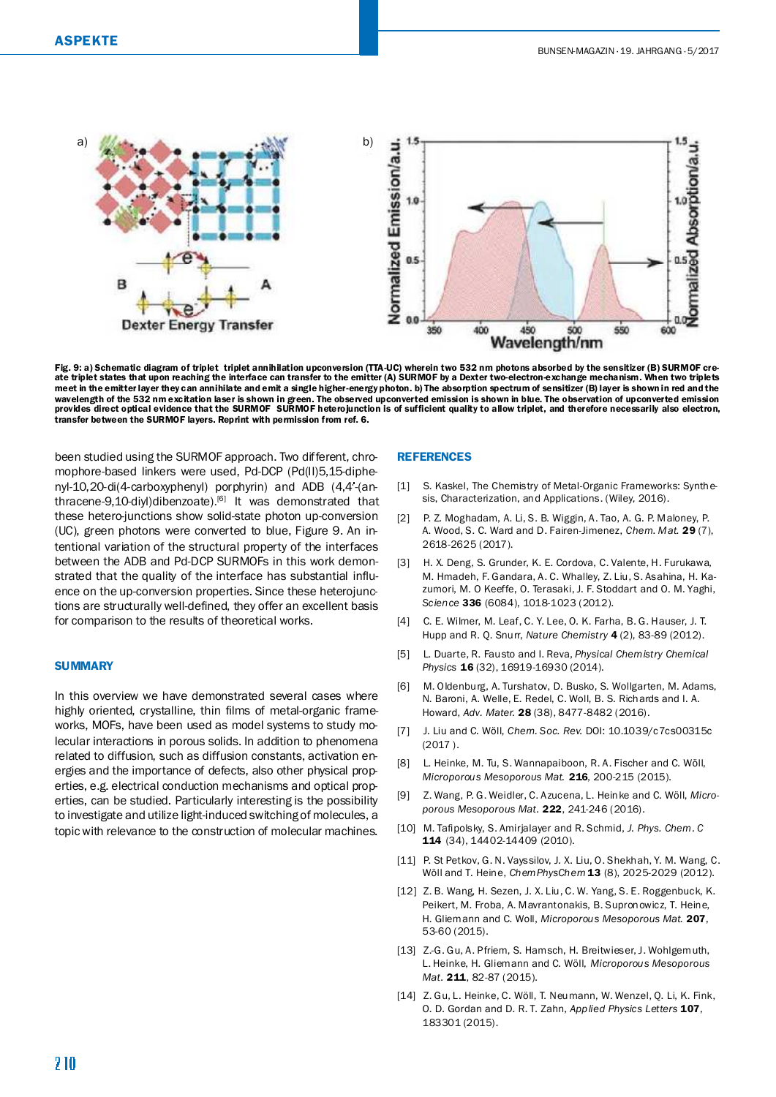

Fig. 9: a) Schematic diagram of triplet–triplet annihilation upconversion (TTA-UC) wherein two 532 nm photons absorbed by the sensitizer (B) SURMOF cre-<br>ate triplet states that upon reaching the interface can transfer to t meet in the emitterlayer they can annihilate and emit a single higher-energy photon. b) The absorption spectrum of sensitizer (B) layer is shown in red and the wavelength of the 532 nm excitation laser is shown in green. The observed upconverted emission is shown in blue. The observation of upconverted emission provides direct optical evidence that the SURMOF-SURMOF heterojunction is of sufficient quality to allow triplet, and therefore necessarily also electron, transfer between the SURMOF layers. Reprint with permission from ref. 6.

been studied using the SURMOF approach. Two different, chromophore-based linkers were used, Pd-DCP (Pd(II)5,15-diphenyl-10,20-di(4-carboxyphenyl) porphyrin) and ADB (4,4'-(anthracene-9,10-diyl)dibenzoate).<sup>[6]</sup> It was demonstrated that these hetero-junctions show solid-state photon up-conversion (UC), green photons were converted to blue, Figure 9. An intentional variation of the structural property of the interfaces between the ADB and Pd-DCP SURMOFs in this work demonstrated that the quality of the interface has substantial influence on the up-conversion properties. Since these heterojunctions are structurally well-defined, they offer an excellent basis for comparison to the results of theoretical works.

#### **SUMMARY**

In this overview we have demonstrated several cases where highly oriented, crystalline, thin films of metal-organic frameworks, MOFs, have been used as model systems to study molecular interactions in porous solids. In addition to phenomena related to diffusion, such as diffusion constants, activation energies and the importance of defects, also other physical properties, e.g. electrical conduction mechanisms and optical properties, can be studied. Particularly interesting is the possibility to investigate and utilize light-induced switchingof molecules, a topicwith relevance to the construction of molecular machines.

#### REFERENCES

- [1] S. Kaskel, The Chemistry of Metal-Organic Frameworks: Synthesis, Characterization, and Applications. (Wiley, 2016).
- [2] P. Z. Moghadam, A. Li, S. B. Wiggin, A. Tao, A. G. P. Maloney, P. A. Wood, S. C. Ward and D. Fairen-Jimenez, *Chem. Mat.* 29 (7), 2618-2625 (2017).
- [3] H. X. Deng, S. Grunder, K. E. Cordova, C. Valente, H. Furukawa, M. Hmadeh, F. Gandara, A. C. Whalley, Z. Liu, S. Asahina, H. Kazumori, M. O'Keeffe, O. Terasaki, J. F. Stoddart and O. M. Yaghi, *Science* 336 (6084), 1018-1023 (2012).
- [4] C. E. Wilmer, M. Leaf, C. Y. Lee, O. K. Farha, B. G. Hauser, J. T. Hupp and R. Q. Snurr, *Nature Chemistry* 4 (2), 83-89 (2012).
- [5] L. Duarte, R. Fausto and I. Reva, *Physical Chemistry Chemical Physics* 16 (32), 16919-16930 (2014).
- [6] M. Oldenburg, A. Turshatov, D. Busko, S. Wollgarten, M. Adams, N. Baroni, A. Welle, E. Redel, C. Woll, B. S. Richards and I. A. Howard, *Adv. Mater.* 28 (38), 8477-8482 (2016).
- [7] J. Liu and C. Wöll, *Chem. Soc. Rev.* DOI: 10.1039/c7cs00315c (2017 ).
- [8] L. Heinke, M. Tu, S. Wannapaiboon, R. A. Fischer and C. Wöll, *Microporous Mesoporous Mat.* 216, 200-215 (2015).
- [9] Z. Wang, P. G. Weidler, C. Azucena, L. Heinke and C. Wöll, *Microporous Mesoporous Mat.* 222, 241-246 (2016).
- [10] M. Tafipolsky, S. Amirjalayer and R. Schmid, *J. Phys. Chem. C* 114 (34), 14402-14409 (2010).
- [11] P. St Petkov, G. N. Vayssilov, J. X. Liu, O. Shekhah, Y. M. Wang, C. Wöll and T. Heine, *ChemPhysChem* 13 (8), 2025-2029 (2012).
- [12] Z. B. Wang, H. Sezen, J. X. Liu, C. W. Yang, S. E. Roggenbuck, K. Peikert, M. Froba, A. Mavrantonakis, B. Supronowicz, T. Heine, H. Gliemann and C. Woll, *Microporous Mesoporous Mat.* 207, 53-60 (2015).
- [13] Z.-G. Gu, A. Pfriem, S. Hamsch, H. Breitwieser, J. Wohlgemuth, L. Heinke, H. Gliemann and C. Wöll, *Microporous Mesoporous Mat.* 211, 82-87 (2015).
- [14] Z. Gu, L. Heinke, C. Wöll, T. Neumann, W. Wenzel, Q. Li, K. Fink, O. D. Gordan and D. R. T. Zahn, *Applied Physics Letters* 107, 183301 (2015).